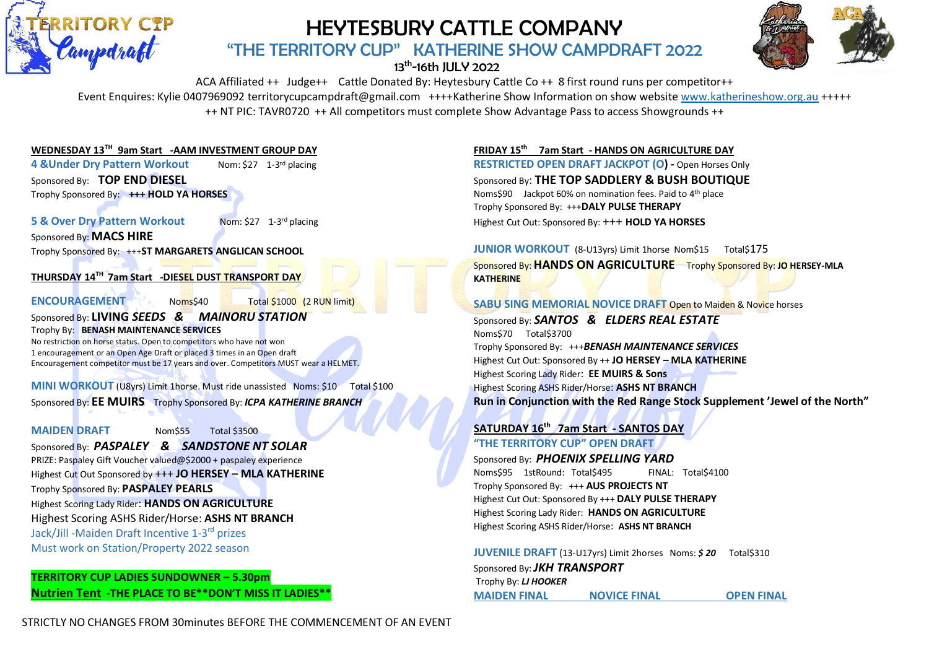

# HEYTESBURY CATTLE COMPANY

"THE TERRITORY CUP" KATHERINE SHOW CAMPDRAFT 2022

# 13<sup>th</sup>-16th JULY 2022



ACA Affiliated ++ Judge++ Cattle Donated By: Heytesbury Cattle Co ++ 8 first round runs per competitor++ Event Enquires: Kylie 0407969092 territorycupcampdraft@gmail.com ++++Katherine Show Information on show website [www.katherineshow.org.au](http://www.katherineshow.org.au/) +++++ ++ NT PIC: TAVR0720 ++ All competitors must complete Show Advantage Pass to access Showgrounds ++

### **WEDNESDAY 13 TH 9am Start -AAM INVESTMENT GROUP DAY**

**4 &Under Dry Pattern Workout** Nom:  $$27$  1-3rd placing

Sponsored By: **TOP END DIESEL** Trophy Sponsored By: **+++ HOLD YA HORSES**

### **5 & Over Dry Pattern Workout**

Nom: \$27 1-3rd placing

Sponsored By: **MACS HIRE**

Trophy Sponsored By: +++**ST MARGARETS ANGLICAN SCHOOL**

### **THURSDAY 14 TH 7am Start -DIESEL DUST TRANSPORT DAY**

**ENCOURAGEMENT** Noms\$40 Total \$1000 (2 RUN limit)

#### Sponsored By: **LIVING** *SEEDS & MAINORU STATION* Trophy By: **BENASH MAINTENANCE SERVICES**

No restriction on horse status. Open to competitors who have not won 1 encouragement or an Open Age Draft or placed 3 times in an Open draft Encouragement competitor must be 17 years and over. Competitors MUST wear a HELMET.

**MINI WORKOUT** (U8yrs) Limit 1horse. Must ride unassisted Noms: \$10 Total \$100 Sponsored By: **EE MUIRS** Trophy Sponsored By: *ICPA KATHERINE BRANCH*

**MAIDEN DRAFT** Nom\$55 Total \$3500

Sponsored By: *PASPALEY & SANDSTONE NT SOLAR* PRIZE: Paspaley Gift Voucher valued@\$2000 + paspaley experience Highest Cut Out Sponsored by +++ **JO HERSEY – MLA KATHERINE** Trophy Sponsored By: **PASPALEY PEARLS** Highest Scoring Lady Rider: **HANDS ON AGRICULTURE** Highest Scoring ASHS Rider/Horse: **ASHS NT BRANCH** Jack/Jill -Maiden Draft Incentive 1-3 rd prizes

Must work on Station/Property 2022 season

# **TERRITORY CUP LADIES SUNDOWNER – 5.30pm Nutrien Tent -THE PLACE TO BE\*\*DON'T MISS IT LADIES\*\***

**FRIDAY 15 th 7am Start - HANDS ON AGRICULTURE DAY RESTRICTED OPEN DRAFT JACKPOT (O) -** Open Horses Only Sponsored By: **THE TOP SADDLERY & BUSH BOUTIQUE** Noms\$90 Jackpot 60% on nomination fees. Paid to 4th place Trophy Sponsored By: +++**DALY PULSE THERAPY** Highest Cut Out: Sponsored By: +++ **HOLD YA HORSES**

**JUNIOR WORKOUT** (8-U13yrs) Limit 1horse Nom\$15 Total\$175 Sponsored By: **HANDS ON AGRICULTURE** Trophy Sponsored By: **JO HERSEY-MLA KATHERINE**

#### **SABU SING MEMORIAL NOVICE DRAFT Open to Maiden & Novice horses**

Sponsored By: *SANTOS & ELDERS REAL ESTATE* Noms\$70 Total\$3700 Trophy Sponsored By: +++*BENASH MAINTENANCE SERVICES* Highest Cut Out: Sponsored By ++ **JO HERSEY – MLA KATHERINE** Highest Scoring Lady Rider: **EE MUIRS & Sons**  Highest Scoring ASHS Rider/Horse: **ASHS NT BRANCH Run in Conjunction with the Red Range Stock Supplement 'Jewel of the North"**

# **SATURDAY 16 th 7am Start - SANTOS DAY "THE TERRITORY CUP" OPEN DRAFT**

Sponsored By: *PHOENIX SPELLING YARD*  Noms\$95 1stRound: Total\$495 FINAL: Total\$4100 Trophy Sponsored By: +++ **AUS PROJECTS NT** Highest Cut Out: Sponsored By +++ **DALY PULSE THERAPY** Highest Scoring Lady Rider: **HANDS ON AGRICULTURE** Highest Scoring ASHS Rider/Horse: **ASHS NT BRANCH**

**JUVENILE DRAFT** (13-U17yrs) Limit 2horses Noms: **\$20** Total\$310 Sponsored By: *JKH TRANSPORT*  Trophy By: *LJ HOOKER* **MAIDEN FINAL NOVICE FINAL OPEN FINAL**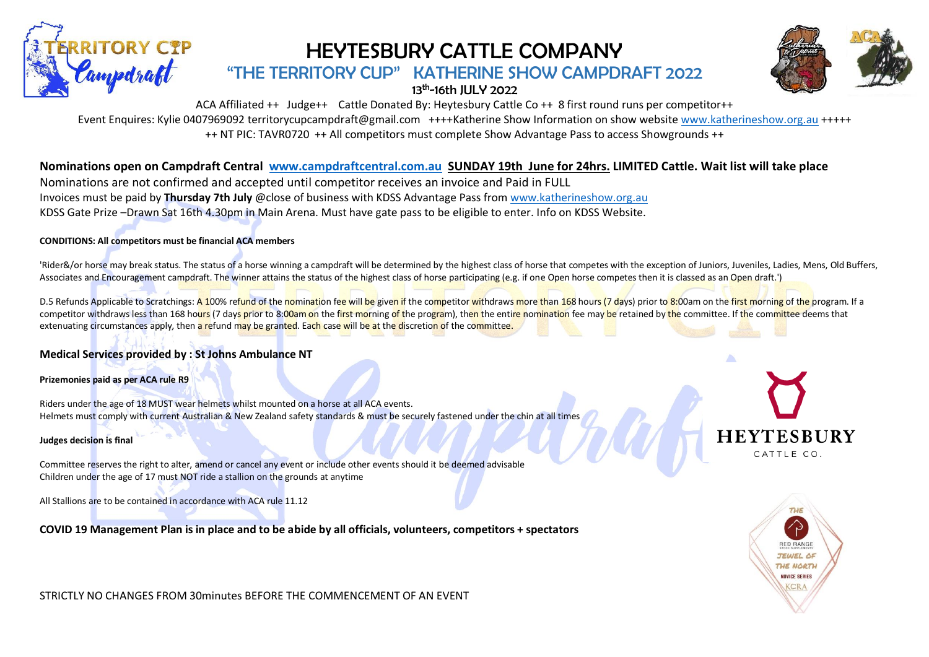

# HEYTESBURY CATTLE COMPANY

# "THE TERRITORY CUP" KATHERINE SHOW CAMPDRAFT 2022

13<sup>th</sup>-16th JULY 2022



ACA Affiliated ++ Judge++ Cattle Donated By: Heytesbury Cattle Co ++ 8 first round runs per competitor++

Event Enquires: Kylie 0407969092 territorycupcampdraft@gmail.com ++++Katherine Show Information on show website [www.katherineshow.org.au](http://www.katherineshow.org.au/) +++++

++ NT PIC: TAVR0720 ++ All competitors must complete Show Advantage Pass to access Showgrounds ++

# **Nominations open on Campdraft Central [www.campdraftcentral.com.au](http://www.campdraftcentral.com.au/) SUNDAY 19th June for 24hrs. LIMITED Cattle. Wait list will take place**

Nominations are not confirmed and accepted until competitor receives an invoice and Paid in FULL Invoices must be paid by **Thursday 7th July** @close of business with KDSS Advantage Pass fro[m www.katherineshow.org.au](http://www.katherineshow.org.au/) KDSS Gate Prize –Drawn Sat 16th 4.30pm in Main Arena. Must have gate pass to be eligible to enter. Info on KDSS Website.

### **CONDITIONS: All competitors must be financial ACA members**

'Rider&/or horse may break status. The status of a horse winning a campdraft will be determined by the highest class of horse that competes with the exception of Juniors, Juveniles, Ladies, Mens, Old Buffers, Associates and Encouragement campdraft. The winner attains the status of the highest class of horse participating (e.g. if one Open horse competes then it is classed as an Open draft.')

D.5 Refunds Applicable to Scratchings: A 100% refund of the nomination fee will be given if the competitor withdraws more than 168 hours (7 days) prior to 8:00am on the first morning of the program. If a competitor withdraws less than 168 hours (7 days prior to 8:00am on the first morning of the program), then the entire nomination fee may be retained by the committee. If the committee deems that extenuating circumstances apply, then a refund may be granted. Each case will be at the discretion of the committee.

### **Medical Services provided by : St Johns Ambulance NT**

**Prizemonies paid as per ACA rule R9**

Riders under the age of 18 MUST wear helmets whilst mounted on a horse at all ACA events. Helmets must comply with current Australian & New Zealand safety standards & must be securely fastened under the chin at all times

#### **Judges decision is final**

Committee reserves the right to alter, amend or cancel any event or include other events should it be deemed advisable Children under the age of 17 must NOT ride a stallion on the grounds at anytime

All Stallions are to be contained in accordance with ACA rule 11.12

**COVID 19 Management Plan is in place and to be abide by all officials, volunteers, competitors + spectators**



STRICTLY NO CHANGES FROM 30minutes BEFORE THE COMMENCEMENT OF AN EVENT